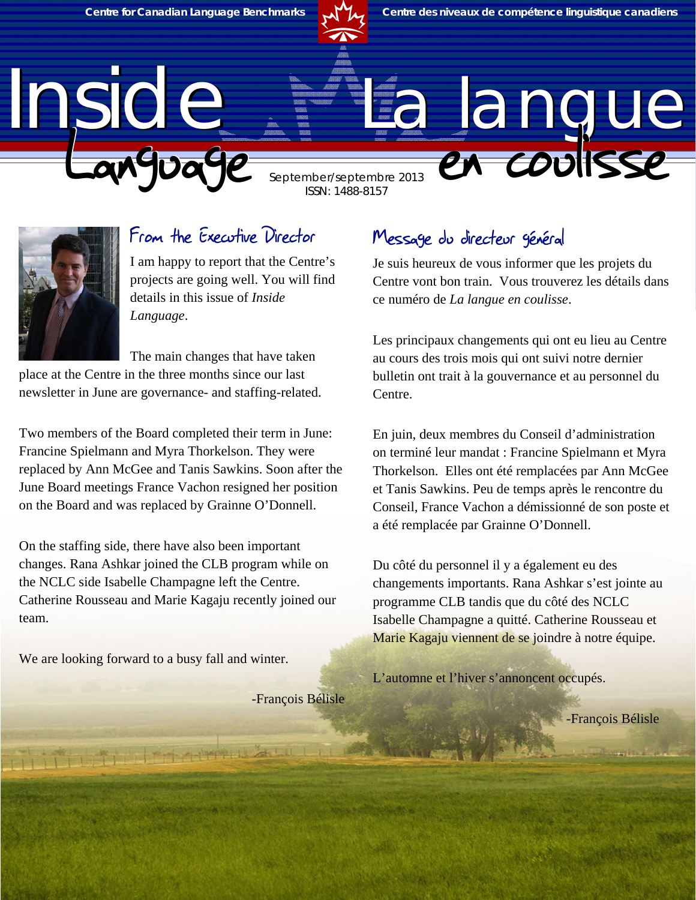

ISSN: 1488-8157

# Inside La langue September/septembre 2013



#### From the Executive Director

I am happy to report that the Centre's projects are going well. You will find details in this issue of *Inside Language*.

The main changes that have taken

place at the Centre in the three months since our last newsletter in June are governance- and staffing-related.

Two members of the Board completed their term in June: Francine Spielmann and Myra Thorkelson. They were replaced by Ann McGee and Tanis Sawkins. Soon after the June Board meetings France Vachon resigned her position on the Board and was replaced by Grainne O'Donnell.

On the staffing side, there have also been important changes. Rana Ashkar joined the CLB program while on the NCLC side Isabelle Champagne left the Centre. Catherine Rousseau and Marie Kagaju recently joined our team.

We are looking forward to a busy fall and winter.

TITUTI ITHINTERU

-François Bélisle

#### Message du directeur général

Je suis heureux de vous informer que les projets du Centre vont bon train. Vous trouverez les détails dans ce numéro de *La langue en coulisse*.

Les principaux changements qui ont eu lieu au Centre au cours des trois mois qui ont suivi notre dernier bulletin ont trait à la gouvernance et au personnel du Centre.

En juin, deux membres du Conseil d'administration on terminé leur mandat : Francine Spielmann et Myra Thorkelson. Elles ont été remplacées par Ann McGee et Tanis Sawkins. Peu de temps après le rencontre du Conseil, France Vachon a démissionné de son poste et a été remplacée par Grainne O'Donnell.

Du côté du personnel il y a également eu des changements importants. Rana Ashkar s'est jointe au programme CLB tandis que du côté des NCLC Isabelle Champagne a quitté. Catherine Rousseau et Marie Kagaju viennent de se joindre à notre équipe.

L'automne et l'hiver s'annoncent occupés.

-François Bélisle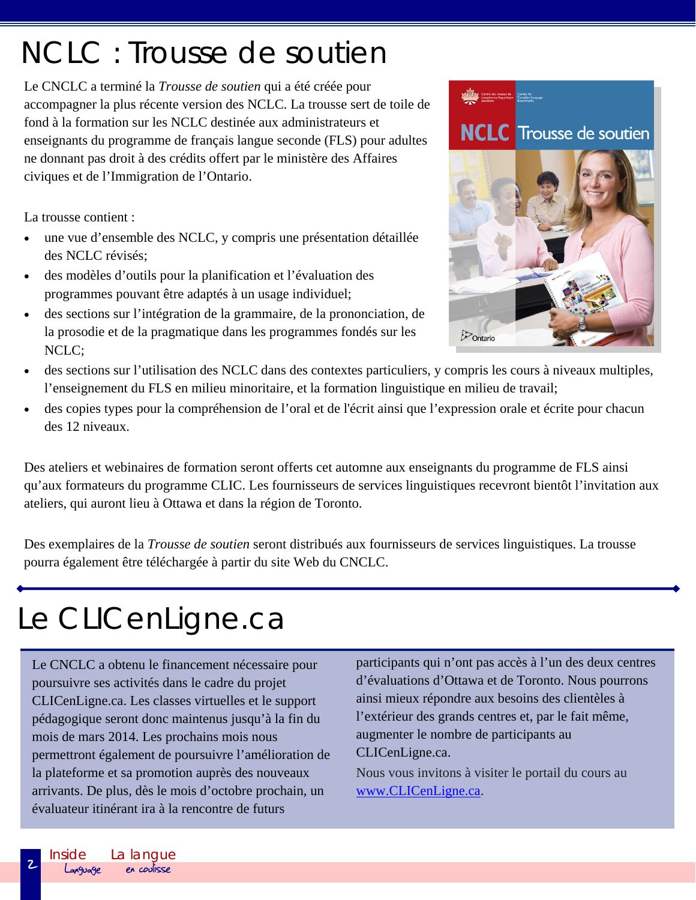#### Inside Language La langue<br> **en coulisse**

**2** 

#### NCLC : Trousse de soutien

Le CNCLC a terminé la *Trousse de soutien* qui a été créée pour accompagner la plus récente version des NCLC. La trousse sert de toile de fond à la formation sur les NCLC destinée aux administrateurs et enseignants du programme de français langue seconde (FLS) pour adultes ne donnant pas droit à des crédits offert par le ministère des Affaires civiques et de l'Immigration de l'Ontario.

La trousse contient :

- une vue d'ensemble des NCLC, y compris une présentation détaillée des NCLC révisés;
- des modèles d'outils pour la planification et l'évaluation des programmes pouvant être adaptés à un usage individuel;
- des sections sur l'intégration de la grammaire, de la prononciation, de la prosodie et de la pragmatique dans les programmes fondés sur les NCLC;



- des sections sur l'utilisation des NCLC dans des contextes particuliers, y compris les cours à niveaux multiples, l'enseignement du FLS en milieu minoritaire, et la formation linguistique en milieu de travail;
- des copies types pour la compréhension de l'oral et de l'écrit ainsi que l'expression orale et écrite pour chacun des 12 niveaux.

Des ateliers et webinaires de formation seront offerts cet automne aux enseignants du programme de FLS ainsi qu'aux formateurs du programme CLIC. Les fournisseurs de services linguistiques recevront bientôt l'invitation aux ateliers, qui auront lieu à Ottawa et dans la région de Toronto.

Des exemplaires de la *Trousse de soutien* seront distribués aux fournisseurs de services linguistiques. La trousse pourra également être téléchargée à partir du site Web du CNCLC.

## Le CLICenLigne.ca

Le CNCLC a obtenu le financement nécessaire pour poursuivre ses activités dans le cadre du projet CLICenLigne.ca. Les classes virtuelles et le support pédagogique seront donc maintenus jusqu'à la fin du mois de mars 2014. Les prochains mois nous permettront également de poursuivre l'amélioration de la plateforme et sa promotion auprès des nouveaux arrivants. De plus, dès le mois d'octobre prochain, un évaluateur itinérant ira à la rencontre de futurs

participants qui n'ont pas accès à l'un des deux centres d'évaluations d'Ottawa et de Toronto. Nous pourrons ainsi mieux répondre aux besoins des clientèles à l'extérieur des grands centres et, par le fait même, augmenter le nombre de participants au CLICenLigne.ca.

Nous vous invitons à visiter le portail du cours au www.CLICenLigne.ca.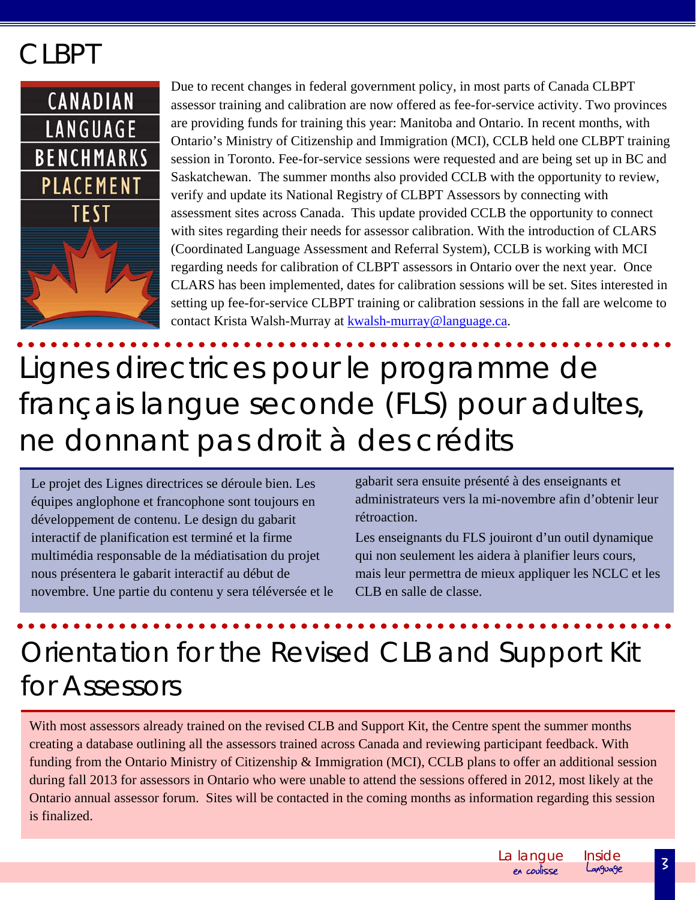#### **CLBPT**



Due to recent changes in federal government policy, in most parts of Canada CLBPT assessor training and calibration are now offered as fee-for-service activity. Two provinces are providing funds for training this year: Manitoba and Ontario. In recent months, with Ontario's Ministry of Citizenship and Immigration (MCI), CCLB held one CLBPT training session in Toronto. Fee-for-service sessions were requested and are being set up in BC and Saskatchewan. The summer months also provided CCLB with the opportunity to review, verify and update its National Registry of CLBPT Assessors by connecting with assessment sites across Canada. This update provided CCLB the opportunity to connect with sites regarding their needs for assessor calibration. With the introduction of CLARS (Coordinated Language Assessment and Referral System), CCLB is working with MCI regarding needs for calibration of CLBPT assessors in Ontario over the next year. Once CLARS has been implemented, dates for calibration sessions will be set. Sites interested in setting up fee-for-service CLBPT training or calibration sessions in the fall are welcome to contact Krista Walsh-Murray at kwalsh-murray@language.ca.

## Lignes directrices pour le programme de français langue seconde (FLS) pour adultes, ne donnant pas droit à des crédits

Le projet des Lignes directrices se déroule bien. Les équipes anglophone et francophone sont toujours en développement de contenu. Le design du gabarit interactif de planification est terminé et la firme multimédia responsable de la médiatisation du projet nous présentera le gabarit interactif au début de novembre. Une partie du contenu y sera téléversée et le gabarit sera ensuite présenté à des enseignants et administrateurs vers la mi-novembre afin d'obtenir leur rétroaction.

Les enseignants du FLS jouiront d'un outil dynamique qui non seulement les aidera à planifier leurs cours, mais leur permettra de mieux appliquer les NCLC et les CLB en salle de classe.

### Orientation for the Revised CLB and Support Kit for Assessors

With most assessors already trained on the revised CLB and Support Kit, the Centre spent the summer months creating a database outlining all the assessors trained across Canada and reviewing participant feedback. With funding from the Ontario Ministry of Citizenship & Immigration (MCI), CCLB plans to offer an additional session during fall 2013 for assessors in Ontario who were unable to attend the sessions offered in 2012, most likely at the Ontario annual assessor forum. Sites will be contacted in the coming months as information regarding this session is finalized.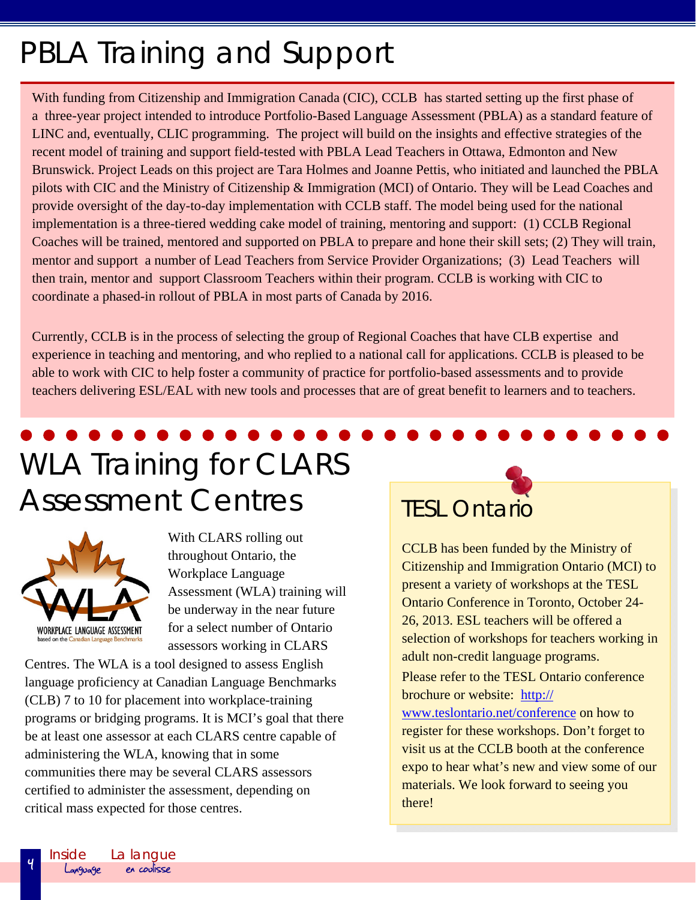### PBLA Training and Support

With funding from Citizenship and Immigration Canada (CIC), CCLB has started setting up the first phase of a three-year project intended to introduce Portfolio-Based Language Assessment (PBLA) as a standard feature of LINC and, eventually, CLIC programming. The project will build on the insights and effective strategies of the recent model of training and support field-tested with PBLA Lead Teachers in Ottawa, Edmonton and New Brunswick. Project Leads on this project are Tara Holmes and Joanne Pettis, who initiated and launched the PBLA pilots with CIC and the Ministry of Citizenship & Immigration (MCI) of Ontario. They will be Lead Coaches and provide oversight of the day-to-day implementation with CCLB staff. The model being used for the national implementation is a three-tiered wedding cake model of training, mentoring and support: (1) CCLB Regional Coaches will be trained, mentored and supported on PBLA to prepare and hone their skill sets; (2) They will train, mentor and support a number of Lead Teachers from Service Provider Organizations; (3) Lead Teachers will then train, mentor and support Classroom Teachers within their program. CCLB is working with CIC to coordinate a phased-in rollout of PBLA in most parts of Canada by 2016.

Currently, CCLB is in the process of selecting the group of Regional Coaches that have CLB expertise and experience in teaching and mentoring, and who replied to a national call for applications. CCLB is pleased to be able to work with CIC to help foster a community of practice for portfolio-based assessments and to provide teachers delivering ESL/EAL with new tools and processes that are of great benefit to learners and to teachers.

## WLA Training for CLARS Assessment Centres TESL Ontario



With CLARS rolling out throughout Ontario, the Workplace Language Assessment (WLA) training will be underway in the near future for a select number of Ontario assessors working in CLARS

Centres. The WLA is a tool designed to assess English language proficiency at Canadian Language Benchmarks (CLB) 7 to 10 for placement into workplace-training programs or bridging programs. It is MCI's goal that there be at least one assessor at each CLARS centre capable of administering the WLA, knowing that in some communities there may be several CLARS assessors certified to administer the assessment, depending on critical mass expected for those centres.



CCLB has been funded by the Ministry of Citizenship and Immigration Ontario (MCI) to present a variety of workshops at the TESL Ontario Conference in Toronto, October 24- 26, 2013. ESL teachers will be offered a selection of workshops for teachers working in adult non-credit language programs. Please refer to the TESL Ontario conference brochure or website: http://

www.teslontario.net/conference on how to register for these workshops. Don't forget to visit us at the CCLB booth at the conference expo to hear what's new and view some of our materials. We look forward to seeing you there!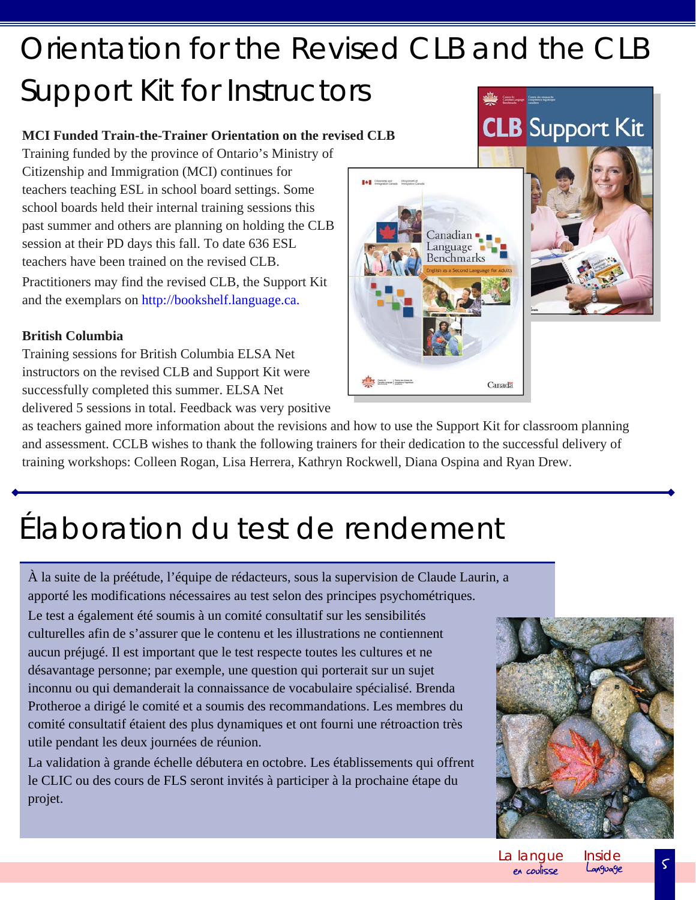## Orientation for the Revised CLB and the CLB Support Kit for Instructors

#### **MCI Funded Train-the-Trainer Orientation on the revised CLB**

Training funded by the province of Ontario's Ministry of Citizenship and Immigration (MCI) continues for teachers teaching ESL in school board settings. Some school boards held their internal training sessions this past summer and others are planning on holding the CLB session at their PD days this fall. To date 636 ESL teachers have been trained on the revised CLB. Practitioners may find the revised CLB, the Support Kit and the exemplars on http://bookshelf.language.ca.

#### **British Columbia**

Training sessions for British Columbia ELSA Net instructors on the revised CLB and Support Kit were successfully completed this summer. ELSA Net delivered 5 sessions in total. Feedback was very positive

as teachers gained more information about the revisions and how to use the Support Kit for classroom planning and assessment. CCLB wishes to thank the following trainers for their dedication to the successful delivery of training workshops: Colleen Rogan, Lisa Herrera, Kathryn Rockwell, Diana Ospina and Ryan Drew.

#### Élaboration du test de rendement

À la suite de la préétude, l'équipe de rédacteurs, sous la supervision de Claude Laurin, a apporté les modifications nécessaires au test selon des principes psychométriques.

Le test a également été soumis à un comité consultatif sur les sensibilités culturelles afin de s'assurer que le contenu et les illustrations ne contiennent aucun préjugé. Il est important que le test respecte toutes les cultures et ne désavantage personne; par exemple, une question qui porterait sur un sujet inconnu ou qui demanderait la connaissance de vocabulaire spécialisé. Brenda Protheroe a dirigé le comité et a soumis des recommandations. Les membres du comité consultatif étaient des plus dynamiques et ont fourni une rétroaction très utile pendant les deux journées de réunion.

La validation à grande échelle débutera en octobre. Les établissements qui offrent le CLIC ou des cours de FLS seront invités à participer à la prochaine étape du projet.





## **CLB** Support Kit